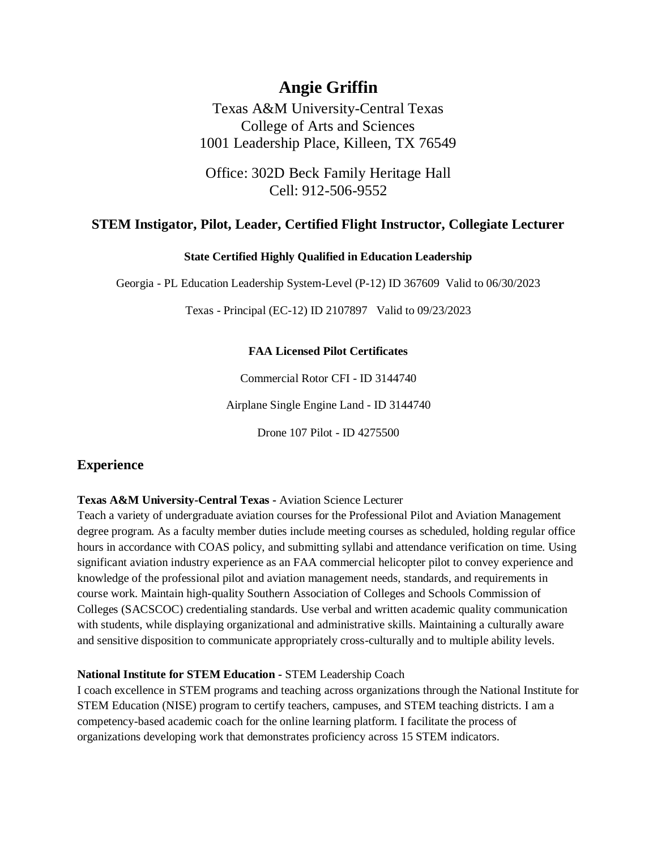# **Angie Griffin**

Texas A&M University-Central Texas College of Arts and Sciences 1001 Leadership Place, Killeen, TX 76549

Office: 302D Beck Family Heritage Hall Cell: 912-506-9552

## **STEM Instigator, Pilot, Leader, Certified Flight Instructor, Collegiate Lecturer**

## **State Certified Highly Qualified in Education Leadership**

Georgia - PL Education Leadership System-Level (P-12) ID 367609 Valid to 06/30/2023

Texas - Principal (EC-12) ID 2107897 Valid to 09/23/2023

## **FAA Licensed Pilot Certificates**

Commercial Rotor CFI - ID 3144740

Airplane Single Engine Land - ID 3144740

Drone 107 Pilot - ID 4275500

## **Experience**

#### **Texas A&M University-Central Texas -** Aviation Science Lecturer

Teach a variety of undergraduate aviation courses for the Professional Pilot and Aviation Management degree program. As a faculty member duties include meeting courses as scheduled, holding regular office hours in accordance with COAS policy, and submitting syllabi and attendance verification on time. Using significant aviation industry experience as an FAA commercial helicopter pilot to convey experience and knowledge of the professional pilot and aviation management needs, standards, and requirements in course work. Maintain high-quality Southern Association of Colleges and Schools Commission of Colleges (SACSCOC) credentialing standards. Use verbal and written academic quality communication with students, while displaying organizational and administrative skills. Maintaining a culturally aware and sensitive disposition to communicate appropriately cross-culturally and to multiple ability levels.

## **National Institute for STEM Education -** STEM Leadership Coach

I coach excellence in STEM programs and teaching across organizations through the National Institute for STEM Education (NISE) program to certify teachers, campuses, and STEM teaching districts. I am a competency-based academic coach for the online learning platform. I facilitate the process of organizations developing work that demonstrates proficiency across 15 STEM indicators.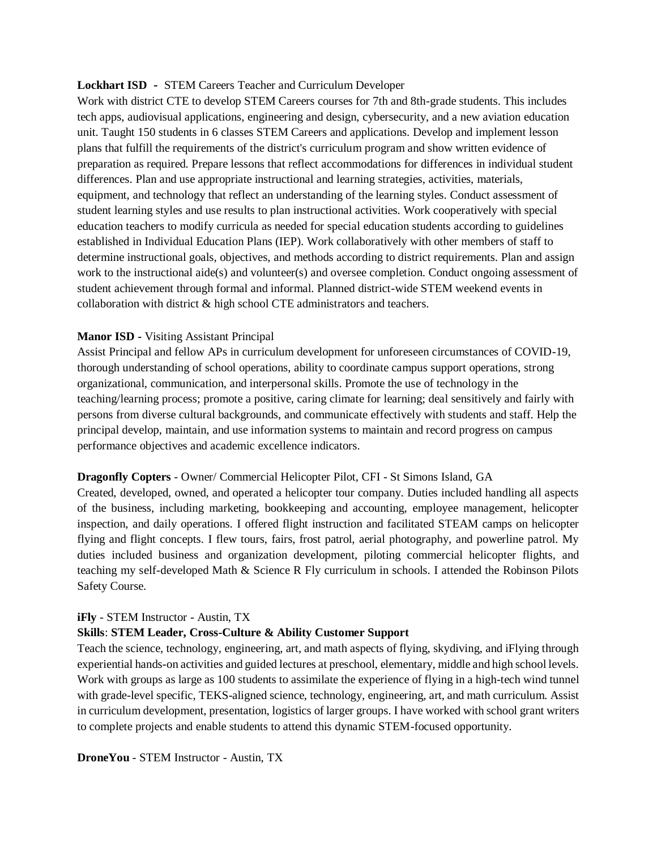#### **Lockhart ISD -** STEM Careers Teacher and Curriculum Developer

Work with district CTE to develop STEM Careers courses for 7th and 8th-grade students. This includes tech apps, audiovisual applications, engineering and design, cybersecurity, and a new aviation education unit. Taught 150 students in 6 classes STEM Careers and applications. Develop and implement lesson plans that fulfill the requirements of the district's curriculum program and show written evidence of preparation as required. Prepare lessons that reflect accommodations for differences in individual student differences. Plan and use appropriate instructional and learning strategies, activities, materials, equipment, and technology that reflect an understanding of the learning styles. Conduct assessment of student learning styles and use results to plan instructional activities. Work cooperatively with special education teachers to modify curricula as needed for special education students according to guidelines established in Individual Education Plans (IEP). Work collaboratively with other members of staff to determine instructional goals, objectives, and methods according to district requirements. Plan and assign work to the instructional aide(s) and volunteer(s) and oversee completion. Conduct ongoing assessment of student achievement through formal and informal. Planned district-wide STEM weekend events in collaboration with district & high school CTE administrators and teachers.

#### **Manor ISD -** Visiting Assistant Principal

Assist Principal and fellow APs in curriculum development for unforeseen circumstances of COVID-19, thorough understanding of school operations, ability to coordinate campus support operations, strong organizational, communication, and interpersonal skills. Promote the use of technology in the teaching/learning process; promote a positive, caring climate for learning; deal sensitively and fairly with persons from diverse cultural backgrounds, and communicate effectively with students and staff. Help the principal develop, maintain, and use information systems to maintain and record progress on campus performance objectives and academic excellence indicators.

#### **Dragonfly Copters** - Owner/ Commercial Helicopter Pilot, CFI - St Simons Island, GA

Created, developed, owned, and operated a helicopter tour company. Duties included handling all aspects of the business, including marketing, bookkeeping and accounting, employee management, helicopter inspection, and daily operations. I offered flight instruction and facilitated STEAM camps on helicopter flying and flight concepts. I flew tours, fairs, frost patrol, aerial photography, and powerline patrol. My duties included business and organization development, piloting commercial helicopter flights, and teaching my self-developed Math & Science R Fly curriculum in schools. I attended the Robinson Pilots Safety Course.

#### **iFly** - STEM Instructor - Austin, TX

#### **Skills**: **STEM Leader, Cross-Culture & Ability Customer Support**

Teach the science, technology, engineering, art, and math aspects of flying, skydiving, and iFlying through experiential hands-on activities and guided lectures at preschool, elementary, middle and high school levels. Work with groups as large as 100 students to assimilate the experience of flying in a high-tech wind tunnel with grade-level specific, TEKS-aligned science, technology, engineering, art, and math curriculum. Assist in curriculum development, presentation, logistics of larger groups. I have worked with school grant writers to complete projects and enable students to attend this dynamic STEM-focused opportunity.

**DroneYou** - STEM Instructor - Austin, TX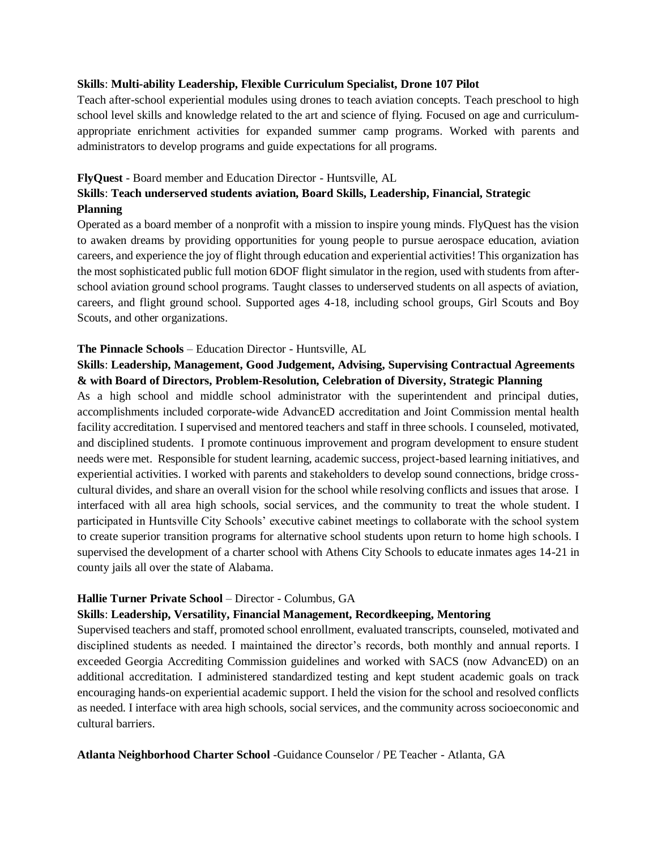#### **Skills**: **Multi-ability Leadership, Flexible Curriculum Specialist, Drone 107 Pilot**

Teach after-school experiential modules using drones to teach aviation concepts. Teach preschool to high school level skills and knowledge related to the art and science of flying. Focused on age and curriculumappropriate enrichment activities for expanded summer camp programs. Worked with parents and administrators to develop programs and guide expectations for all programs.

#### **FlyQuest** - Board member and Education Director - Huntsville, AL

## **Skills**: **Teach underserved students aviation, Board Skills, Leadership, Financial, Strategic Planning**

Operated as a board member of a nonprofit with a mission to inspire young minds. FlyQuest has the vision to awaken dreams by providing opportunities for young people to pursue aerospace education, aviation careers, and experience the joy of flight through education and experiential activities! This organization has the most sophisticated public full motion 6DOF flight simulator in the region, used with students from afterschool aviation ground school programs. Taught classes to underserved students on all aspects of aviation, careers, and flight ground school. Supported ages 4-18, including school groups, Girl Scouts and Boy Scouts, and other organizations.

#### **The Pinnacle Schools** – Education Director - Huntsville, AL

## **Skills**: **Leadership, Management, Good Judgement, Advising, Supervising Contractual Agreements & with Board of Directors, Problem-Resolution, Celebration of Diversity, Strategic Planning**

As a high school and middle school administrator with the superintendent and principal duties, accomplishments included corporate-wide AdvancED accreditation and Joint Commission mental health facility accreditation. I supervised and mentored teachers and staff in three schools. I counseled, motivated, and disciplined students. I promote continuous improvement and program development to ensure student needs were met. Responsible for student learning, academic success, project-based learning initiatives, and experiential activities. I worked with parents and stakeholders to develop sound connections, bridge crosscultural divides, and share an overall vision for the school while resolving conflicts and issues that arose. I interfaced with all area high schools, social services, and the community to treat the whole student. I participated in Huntsville City Schools' executive cabinet meetings to collaborate with the school system to create superior transition programs for alternative school students upon return to home high schools. I supervised the development of a charter school with Athens City Schools to educate inmates ages 14-21 in county jails all over the state of Alabama.

#### **Hallie Turner Private School** – Director - Columbus, GA

#### **Skills**: **Leadership, Versatility, Financial Management, Recordkeeping, Mentoring**

Supervised teachers and staff, promoted school enrollment, evaluated transcripts, counseled, motivated and disciplined students as needed. I maintained the director's records, both monthly and annual reports. I exceeded Georgia Accrediting Commission guidelines and worked with SACS (now AdvancED) on an additional accreditation. I administered standardized testing and kept student academic goals on track encouraging hands-on experiential academic support. I held the vision for the school and resolved conflicts as needed. I interface with area high schools, social services, and the community across socioeconomic and cultural barriers.

#### **Atlanta Neighborhood Charter School** -Guidance Counselor / PE Teacher - Atlanta, GA